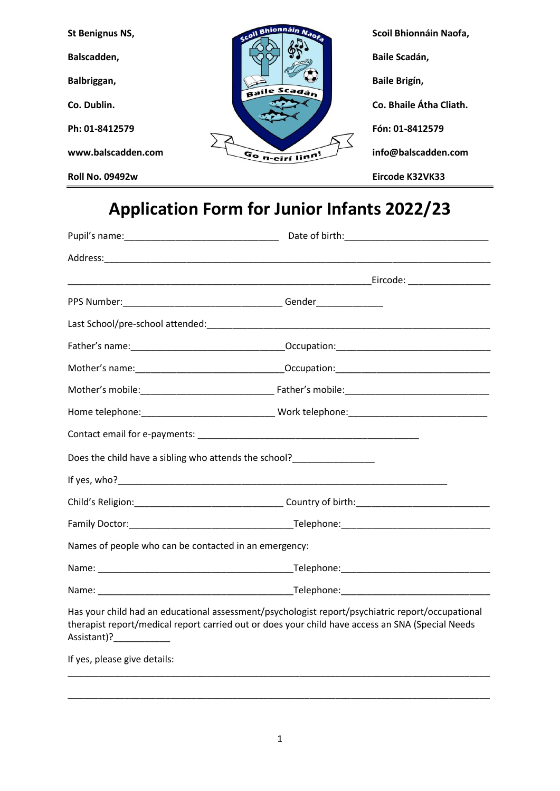| St Benignus NS,        | scoil Bhionnáin Naofa | Scoil Bhionnáin Naofa,  |
|------------------------|-----------------------|-------------------------|
| Balscadden,            | Baile Scadán          | Baile Scadán,           |
| Balbriggan,            |                       | Baile Brigín,           |
| Co. Dublin.            |                       | Co. Bhaile Átha Cliath. |
| Ph: 01-8412579         |                       | Fón: 01-8412579         |
| www.balscadden.com     | Gon-eirí linn!        | info@balscadden.com     |
| <b>Roll No. 09492w</b> |                       | Eircode K32VK33         |

## **Application Form for Junior Infants 2022/23**

| Names of people who can be contacted in an emergency: |                                                                                                                                                                                                      |  |
|-------------------------------------------------------|------------------------------------------------------------------------------------------------------------------------------------------------------------------------------------------------------|--|
|                                                       |                                                                                                                                                                                                      |  |
|                                                       |                                                                                                                                                                                                      |  |
| Assistant)?______________                             | Has your child had an educational assessment/psychologist report/psychiatric report/occupational<br>therapist report/medical report carried out or does your child have access an SNA (Special Needs |  |
| If yes, please give details:                          |                                                                                                                                                                                                      |  |

\_\_\_\_\_\_\_\_\_\_\_\_\_\_\_\_\_\_\_\_\_\_\_\_\_\_\_\_\_\_\_\_\_\_\_\_\_\_\_\_\_\_\_\_\_\_\_\_\_\_\_\_\_\_\_\_\_\_\_\_\_\_\_\_\_\_\_\_\_\_\_\_\_\_\_\_\_\_\_\_\_\_

\_\_\_\_\_\_\_\_\_\_\_\_\_\_\_\_\_\_\_\_\_\_\_\_\_\_\_\_\_\_\_\_\_\_\_\_\_\_\_\_\_\_\_\_\_\_\_\_\_\_\_\_\_\_\_\_\_\_\_\_\_\_\_\_\_\_\_\_\_\_\_\_\_\_\_\_\_\_\_\_\_\_